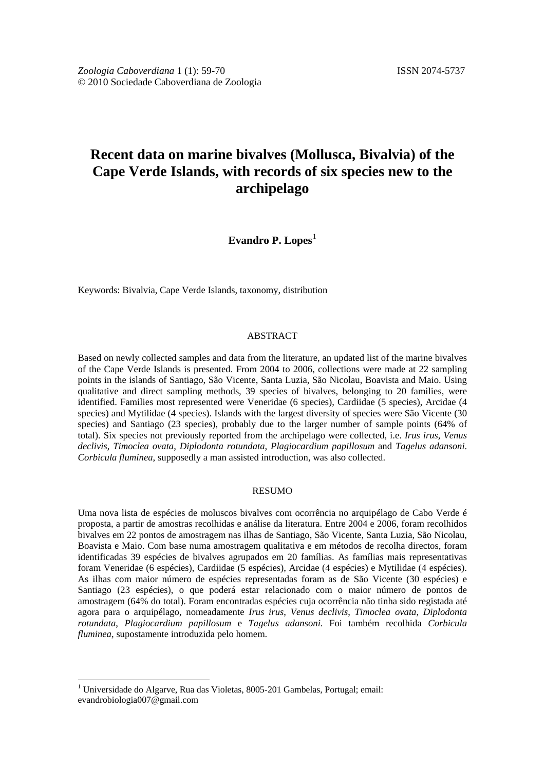# **Recent data on marine bivalves (Mollusca, Bivalvia) of the Cape Verde Islands, with records of six species new to the archipelago**

**Evandro P.** Lopes<sup>[1](#page-0-0)</sup>

Keywords: Bivalvia, Cape Verde Islands, taxonomy, distribution

### ABSTRACT

Based on newly collected samples and data from the literature, an updated list of the marine bivalves of the Cape Verde Islands is presented. From 2004 to 2006, collections were made at 22 sampling points in the islands of Santiago, São Vicente, Santa Luzia, São Nicolau, Boavista and Maio. Using qualitative and direct sampling methods, 39 species of bivalves, belonging to 20 families, were identified. Families most represented were Veneridae (6 species), Cardiidae (5 species), Arcidae (4 species) and Mytilidae (4 species). Islands with the largest diversity of species were São Vicente (30 species) and Santiago (23 species), probably due to the larger number of sample points (64% of total). Six species not previously reported from the archipelago were collected, i.e. *Irus irus*, *Venus declivis*, *Timoclea ovata*, *Diplodonta rotundata*, *Plagiocardium papillosum* and *Tagelus adansoni*. *Corbicula fluminea*, supposedly a man assisted introduction, was also collected.

#### RESUMO

Uma nova lista de espécies de moluscos bivalves com ocorrência no arquipélago de Cabo Verde é proposta, a partir de amostras recolhidas e análise da literatura. Entre 2004 e 2006, foram recolhidos bivalves em 22 pontos de amostragem nas ilhas de Santiago, São Vicente, Santa Luzia, São Nicolau, Boavista e Maio. Com base numa amostragem qualitativa e em métodos de recolha directos, foram identificadas 39 espécies de bivalves agrupados em 20 famílias. As famílias mais representativas foram Veneridae (6 espécies), Cardiidae (5 espécies), Arcidae (4 espécies) e Mytilidae (4 espécies). As ilhas com maior número de espécies representadas foram as de São Vicente (30 espécies) e Santiago (23 espécies), o que poderá estar relacionado com o maior número de pontos de amostragem (64% do total). Foram encontradas espécies cuja ocorrência não tinha sido registada até agora para o arquipélago, nomeadamente *Irus irus*, *Venus declivis*, *Timoclea ovata*, *Diplodonta rotundata*, *Plagiocardium papillosum* e *Tagelus adansoni*. Foi também recolhida *Corbicula fluminea*, supostamente introduzida pelo homem.

<span id="page-0-0"></span> $1$  Universidade do Algarve, Rua das Violetas, 8005-201 Gambelas, Portugal; email: evandrobiologia007@gmail.com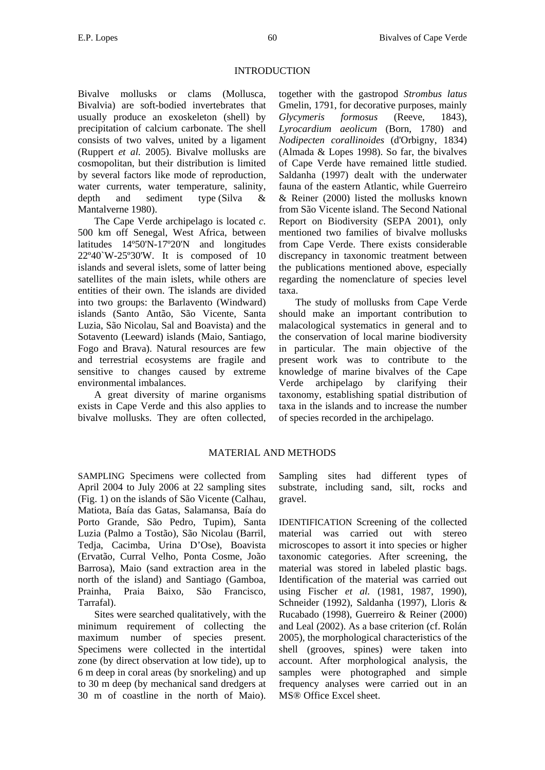#### INTRODUCTION

Bivalve mollusks or clams (Mollusca, Bivalvia) are soft-bodied invertebrates that usually produce an exoskeleton (shell) by precipitation of calcium carbonate. The shell consists of two valves, united by a ligament (Ruppert *et al.* 2005). Bivalve mollusks are cosmopolitan, but their distribution is limited by several factors like mode of reproduction, water currents, water temperature, salinity, depth and sediment type (Silva & Mantalverne 1980).

The Cape Verde archipelago is located *c*. 500 km off Senegal, West Africa, between latitudes 14º50'N-17º20'N and longitudes 22º40`W-25º30'W. It is composed of 10 islands and several islets, some of latter being satellites of the main islets, while others are entities of their own. The islands are divided into two groups: the Barlavento (Windward) islands (Santo Antão, São Vicente, Santa Luzia, São Nicolau, Sal and Boavista) and the Sotavento (Leeward) islands (Maio, Santiago, Fogo and Brava). Natural resources are few and terrestrial ecosystems are fragile and sensitive to changes caused by extreme environmental imbalances.

A great diversity of marine organisms exists in Cape Verde and this also applies to bivalve mollusks. They are often collected,

together with the gastropod *Strombus latus* Gmelin, 1791, for decorative purposes, mainly *Glycymeris formosus* (Reeve, 1843), *Lyrocardium aeolicum* (Born, 1780) and *Nodipecten corallinoides* (d'Orbigny, 1834) (Almada & Lopes 1998). So far, the bivalves of Cape Verde have remained little studied. Saldanha (1997) dealt with the underwater fauna of the eastern Atlantic, while Guerreiro & Reiner (2000) listed the mollusks known from São Vicente island. The Second National Report on Biodiversity (SEPA 2001), only mentioned two families of bivalve mollusks from Cape Verde. There exists considerable discrepancy in taxonomic treatment between the publications mentioned above, especially regarding the nomenclature of species level taxa.

The study of mollusks from Cape Verde should make an important contribution to malacological systematics in general and to the conservation of local marine biodiversity in particular. The main objective of the present work was to contribute to the knowledge of marine bivalves of the Cape Verde archipelago by clarifying their taxonomy, establishing spatial distribution of taxa in the islands and to increase the number of species recorded in the archipelago.

# MATERIAL AND METHODS

SAMPLING Specimens were collected from April 2004 to July 2006 at 22 sampling sites (Fig. 1) on the islands of São Vicente (Calhau, Matiota, Baía das Gatas, Salamansa, Baía do Porto Grande, São Pedro, Tupim), Santa Luzia (Palmo a Tostão), São Nicolau (Barril, Tedja, Cacimba, Urina D'Ose), Boavista (Ervatão, Curral Velho, Ponta Cosme, João Barrosa), Maio (sand extraction area in the north of the island) and Santiago (Gamboa, Prainha, Praia Baixo, São Francisco, Tarrafal).

Sites were searched qualitatively, with the minimum requirement of collecting the maximum number of species present. Specimens were collected in the intertidal zone (by direct observation at low tide), up to 6 m deep in coral areas (by snorkeling) and up to 30 m deep (by mechanical sand dredgers at 30 m of coastline in the north of Maio). Sampling sites had different types of substrate, including sand, silt, rocks and gravel.

IDENTIFICATION Screening of the collected material was carried out with stereo microscopes to assort it into species or higher taxonomic categories. After screening, the material was stored in labeled plastic bags. Identification of the material was carried out using Fischer *et al.* (1981, 1987, 1990), Schneider (1992), Saldanha (1997), Lloris & Rucabado (1998), Guerreiro & Reiner (2000) and Leal (2002). As a base criterion (cf. Rolán 2005), the morphological characteristics of the shell (grooves, spines) were taken into account. After morphological analysis, the samples were photographed and simple frequency analyses were carried out in an MS® Office Excel sheet.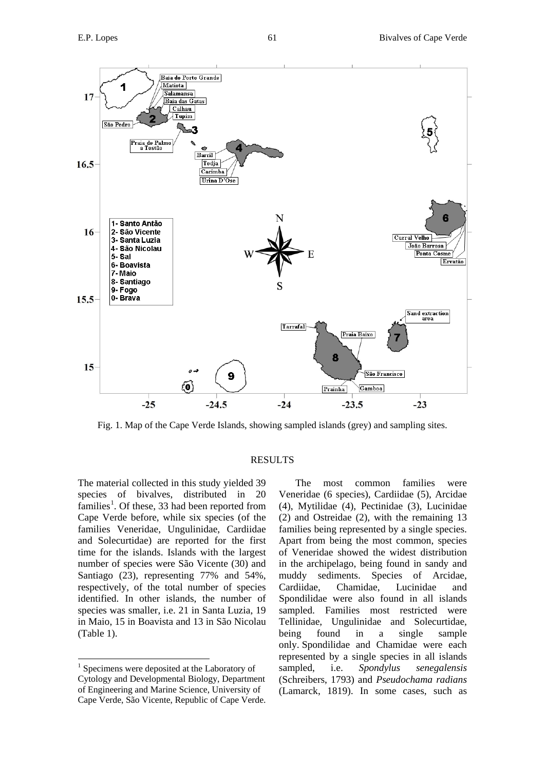

Fig. 1. Map of the Cape Verde Islands, showing sampled islands (grey) and sampling sites.

### RESULTS

The material collected in this study yielded 39 species of bivalves, distributed in 20 families<sup>[1](#page-2-0)</sup>. Of these, 33 had been reported from Cape Verde before, while six species (of the families Veneridae, Ungulinidae, Cardiidae and Solecurtidae) are reported for the first time for the islands. Islands with the largest number of species were São Vicente (30) and Santiago (23), representing 77% and 54%, respectively, of the total number of species identified. In other islands, the number of species was smaller, i.e. 21 in Santa Luzia, 19 in Maio, 15 in Boavista and 13 in São Nicolau (Table 1).

The most common families were Veneridae (6 species), Cardiidae (5), Arcidae (4), Mytilidae (4), Pectinidae (3), Lucinidae (2) and Ostreidae (2), with the remaining 13 families being represented by a single species. Apart from being the most common, species of Veneridae showed the widest distribution in the archipelago, being found in sandy and muddy sediments. Species of Arcidae, Cardiidae, Chamidae, Lucinidae and Spondilidae were also found in all islands sampled. Families most restricted were Tellinidae, Ungulinidae and Solecurtidae, being found in a single sample only. Spondilidae and Chamidae were each represented by a single species in all islands sampled, i.e. *Spondylus senegalensis*  (Schreibers, 1793) and *Pseudochama radians* (Lamarck, 1819). In some cases, such as

<span id="page-2-0"></span> $<sup>1</sup>$  Specimens were deposited at the Laboratory of</sup> Cytology and Developmental Biology, Department of Engineering and Marine Science, University of Cape Verde, São Vicente, Republic of Cape Verde.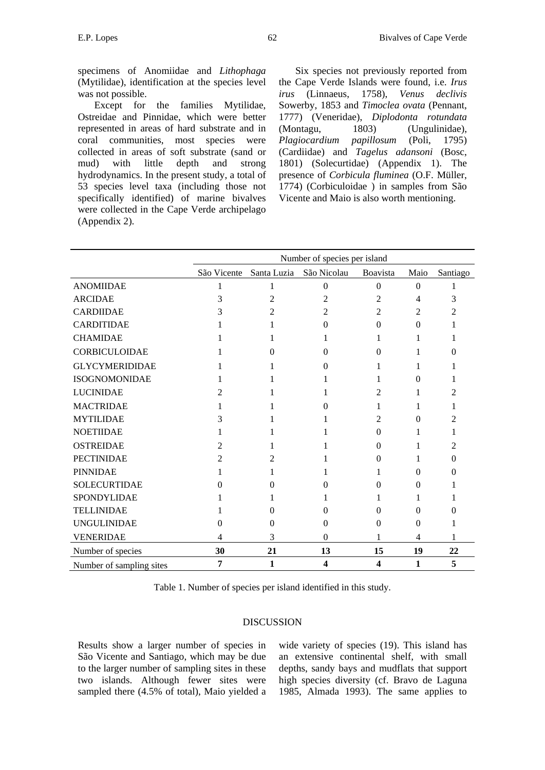specimens of Anomiidae and *Lithophaga* (Mytilidae), identification at the species level was not possible.

Except for the families Mytilidae, Ostreidae and Pinnidae, which were better represented in areas of hard substrate and in coral communities, most species were collected in areas of soft substrate (sand or mud) with little depth and strong hydrodynamics. In the present study, a total of 53 species level taxa (including those not specifically identified) of marine bivalves were collected in the Cape Verde archipelago (Appendix 2).

Six species not previously reported from the Cape Verde Islands were found, i.e. *Irus irus* (Linnaeus, 1758), *Venus declivis* Sowerby, 1853 and *Timoclea ovata* (Pennant, 1777) (Veneridae), *Diplodonta rotundata* (Montagu, 1803) (Ungulinidae), *Plagiocardium papillosum* (Poli, 1795) (Cardiidae) and *Tagelus adansoni* (Bosc, 1801) (Solecurtidae) (Appendix 1). The presence of *Corbicula fluminea* (O.F. Müller, 1774) (Corbiculoidae ) in samples from São Vicente and Maio is also worth mentioning.

|                          | Number of species per island |             |                         |                         |          |                   |
|--------------------------|------------------------------|-------------|-------------------------|-------------------------|----------|-------------------|
|                          | São Vicente                  | Santa Luzia | São Nicolau             | Boavista                | Maio     | Santiago          |
| <b>ANOMIIDAE</b>         | 1                            | 1           | $\Omega$                | $\Omega$                | $\theta$ |                   |
| <b>ARCIDAE</b>           | 3                            | 2           | 2                       | 2                       | 4        | 3                 |
| <b>CARDIIDAE</b>         | 3                            | 2           | 2                       | 2                       | 2        | 2                 |
| <b>CARDITIDAE</b>        |                              |             | $\Omega$                | $\Omega$                | $\Omega$ |                   |
| <b>CHAMIDAE</b>          |                              |             |                         |                         | 1        |                   |
| <b>CORBICULOIDAE</b>     |                              | $\Omega$    | $\Omega$                | $\Omega$                | 1        | $\mathbf{\Omega}$ |
| <b>GLYCYMERIDIDAE</b>    |                              |             | 0                       |                         | 1        |                   |
| <b>ISOGNOMONIDAE</b>     |                              |             |                         |                         | 0        |                   |
| <b>LUCINIDAE</b>         | 2                            |             |                         | 2                       | 1        | 2                 |
| <b>MACTRIDAE</b>         |                              |             | 0                       | 1                       | 1        |                   |
| <b>MYTILIDAE</b>         | 3                            |             |                         | 2                       | 0        |                   |
| <b>NOETIIDAE</b>         |                              |             |                         | $\Omega$                | 1        |                   |
| <b>OSTREIDAE</b>         | $\mathcal{L}$                |             |                         | 0                       |          | 2                 |
| <b>PECTINIDAE</b>        | $\mathfrak{D}$               | 2           |                         | 0                       | 1        | 0                 |
| <b>PINNIDAE</b>          |                              |             |                         |                         | 0        |                   |
| <b>SOLECURTIDAE</b>      | 0                            | 0           | 0                       | 0                       | $\Omega$ |                   |
| SPONDYLIDAE              |                              |             |                         |                         |          |                   |
| <b>TELLINIDAE</b>        |                              | 0           | $\Omega$                | 0                       | $\Omega$ |                   |
| <b>UNGULINIDAE</b>       | 0                            | $\Omega$    | $\Omega$                | $\Omega$                | $\Omega$ |                   |
| <b>VENERIDAE</b>         | 4                            | 3           | $\Omega$                |                         | 4        |                   |
| Number of species        | 30                           | 21          | 13                      | 15                      | 19       | 22                |
| Number of sampling sites | 7                            | 1           | $\overline{\mathbf{4}}$ | $\overline{\mathbf{4}}$ | 1        | 5                 |

Table 1. Number of species per island identified in this study.

#### DISCUSSION

Results show a larger number of species in São Vicente and Santiago, which may be due to the larger number of sampling sites in these two islands. Although fewer sites were sampled there (4.5% of total), Maio yielded a

wide variety of species (19). This island has an extensive continental shelf, with small depths, sandy bays and mudflats that support high species diversity (cf. Bravo de Laguna 1985, Almada 1993). The same applies to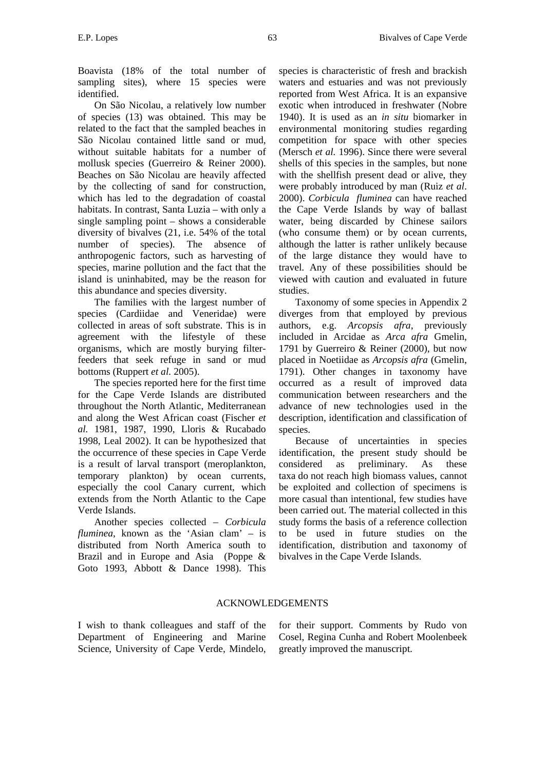Boavista (18% of the total number of sampling sites), where 15 species were identified.

On São Nicolau, a relatively low number of species (13) was obtained. This may be related to the fact that the sampled beaches in São Nicolau contained little sand or mud, without suitable habitats for a number of mollusk species (Guerreiro & Reiner 2000). Beaches on São Nicolau are heavily affected by the collecting of sand for construction, which has led to the degradation of coastal habitats. In contrast, Santa Luzia – with only a single sampling point – shows a considerable diversity of bivalves (21, i.e. 54% of the total number of species). The absence of anthropogenic factors, such as harvesting of species, marine pollution and the fact that the island is uninhabited, may be the reason for this abundance and species diversity.

The families with the largest number of species (Cardiidae and Veneridae) were collected in areas of soft substrate. This is in agreement with the lifestyle of these organisms, which are mostly burying filterfeeders that seek refuge in sand or mud bottoms (Ruppert *et al.* 2005).

The species reported here for the first time for the Cape Verde Islands are distributed throughout the North Atlantic, Mediterranean and along the West African coast (Fischer *et al.* 1981, 1987, 1990, Lloris & Rucabado 1998, Leal 2002). It can be hypothesized that the occurrence of these species in Cape Verde is a result of larval transport (meroplankton, temporary plankton) by ocean currents, especially the cool Canary current, which extends from the North Atlantic to the Cape Verde Islands.

Another species collected – *Corbicula fluminea*, known as the 'Asian clam' – is distributed from North America south to Brazil and in Europe and Asia (Poppe & Goto 1993, Abbott & Dance 1998). This

species is characteristic of fresh and brackish waters and estuaries and was not previously reported from West Africa. It is an expansive exotic when introduced in freshwater (Nobre 1940). It is used as an *in situ* biomarker in environmental monitoring studies regarding competition for space with other species (Mersch *et al.* 1996). Since there were several shells of this species in the samples, but none with the shellfish present dead or alive, they were probably introduced by man (Ruiz *et al*. 2000). *Corbicula fluminea* can have reached the Cape Verde Islands by way of ballast water, being discarded by Chinese sailors (who consume them) or by ocean currents, although the latter is rather unlikely because of the large distance they would have to travel. Any of these possibilities should be viewed with caution and evaluated in future studies.

Taxonomy of some species in Appendix 2 diverges from that employed by previous authors, e.g. *Arcopsis afra*, previously included in Arcidae as *Arca afra* Gmelin, 1791 by Guerreiro & Reiner (2000), but now placed in Noetiidae as *Arcopsis afra* (Gmelin, 1791). Other changes in taxonomy have occurred as a result of improved data communication between researchers and the advance of new technologies used in the description, identification and classification of species.

Because of uncertainties in species identification, the present study should be considered as preliminary. As these taxa do not reach high biomass values, cannot be exploited and collection of specimens is more casual than intentional, few studies have been carried out. The material collected in this study forms the basis of a reference collection to be used in future studies on the identification, distribution and taxonomy of bivalves in the Cape Verde Islands.

# ACKNOWLEDGEMENTS

I wish to thank colleagues and staff of the Department of Engineering and Marine Science, University of Cape Verde, Mindelo, for their support. Comments by Rudo von Cosel, Regina Cunha and Robert Moolenbeek greatly improved the manuscript.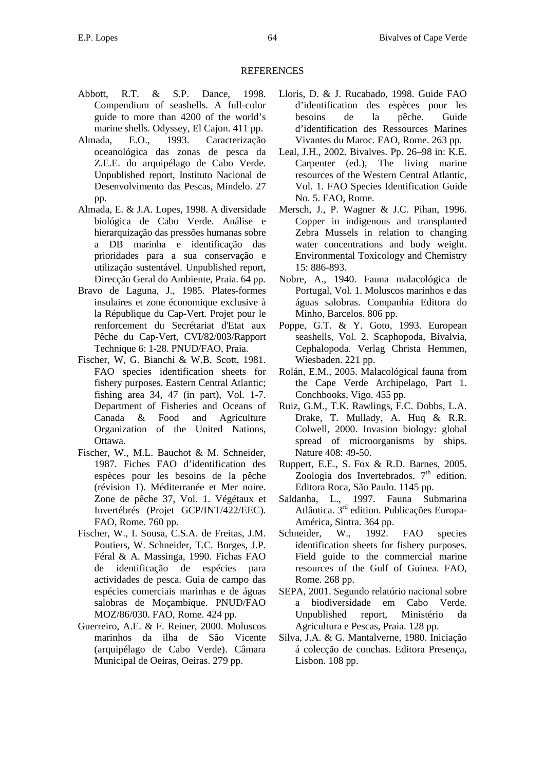#### REFERENCES

- Abbott, R.T. & S.P. Dance, 1998. Compendium of seashells. A full-color guide to more than 4200 of the world's marine shells. Odyssey, El Cajon. 411 pp.
- Almada, E.O., 1993. Caracterização oceanológica das zonas de pesca da Z.E.E. do arquipélago de Cabo Verde. Unpublished report, Instituto Nacional de Desenvolvimento das Pescas, Mindelo. 27 pp.
- Almada, E. & J.A. Lopes, 1998. A diversidade biológica de Cabo Verde. Análise e hierarquização das pressões humanas sobre a DB marinha e identificação das prioridades para a sua conservação e utilização sustentável. Unpublished report, Direcção Geral do Ambiente, Praia. 64 pp.
- Bravo de Laguna, J., 1985. Plates-formes insulaires et zone économique exclusive à la République du Cap-Vert. Projet pour le renforcement du Secrétariat d'Etat aux Pêche du Cap-Vert, CVI/82/003/Rapport Technique 6: 1-28. PNUD/FAO, Praia.
- Fischer, W, G. Bianchi & W.B. Scott, 1981. FAO species identification sheets for fishery purposes. Eastern Central Atlantic; fishing area 34, 47 (in part), Vol. 1-7. Department of Fisheries and Oceans of Canada & Food and Agriculture Organization of the United Nations, Ottawa.
- Fischer, W., M.L. Bauchot & M. Schneider, 1987. Fiches FAO d'identification des espèces pour les besoins de la pêche (révision 1). Méditerranée et Mer noire. Zone de pêche 37, Vol. 1. Végétaux et Invertébrés (Projet GCP/INT/422/EEC). FAO, Rome. 760 pp.
- Fischer, W., I. Sousa, C.S.A. de Freitas, J.M. Poutiers, W. Schneider, T.C. Borges, J.P. Féral & A. Massinga, 1990. Fichas FAO de identificação de espécies para actividades de pesca. Guia de campo das espécies comerciais marinhas e de águas salobras de Moçambique. PNUD/FAO MOZ/86/030. FAO, Rome. 424 pp.
- Guerreiro, A.E. & F. Reiner, 2000. Moluscos marinhos da ilha de São Vicente (arquipélago de Cabo Verde). Câmara Municipal de Oeiras, Oeiras. 279 pp.
- Lloris, D. & J. Rucabado, 1998. Guide FAO d'identification des espèces pour les besoins de la pêche. Guide d'identification des Ressources Marines Vivantes du Maroc. FAO, Rome. 263 pp.
- Leal, J.H., 2002. Bivalves. Pp. 26–98 in: K.E. Carpenter (ed.), The living marine resources of the Western Central Atlantic, Vol. 1. FAO Species Identification Guide No. 5. FAO, Rome.
- Mersch, J., P. Wagner & J.C. Pihan, 1996. Copper in indigenous and transplanted Zebra Mussels in relation to changing water concentrations and body weight. Environmental Toxicology and Chemistry 15: 886-893.
- Nobre, A., 1940. Fauna malacológica de Portugal, Vol. 1. Moluscos marinhos e das águas salobras. Companhia Editora do Minho, Barcelos. 806 pp.
- Poppe, G.T. & Y. Goto, 1993. European seashells, Vol. 2. Scaphopoda, Bivalvia, Cephalopoda. Verlag Christa Hemmen, Wiesbaden. 221 pp.
- Rolán, E.M., 2005. Malacológical fauna from the Cape Verde Archipelago, Part 1. Conchbooks, Vigo. 455 pp.
- Ruiz, G.M., T.K. Rawlings, F.C. Dobbs, L.A. Drake, T. Mullady, A. Huq & R.R. Colwell, 2000. Invasion biology: global spread of microorganisms by ships. Nature 408: 49-50.
- Ruppert, E.E., S. Fox & R.D. Barnes, 2005. Zoologia dos Invertebrados.  $7<sup>th</sup>$  edition. Editora Roca, São Paulo. 1145 pp.
- Saldanha, L., 1997. Fauna Submarina Atlântica. 3rd edition. Publicações Europa-América, Sintra. 364 pp.
- Schneider, W., 1992. FAO species identification sheets for fishery purposes. Field guide to the commercial marine resources of the Gulf of Guinea. FAO, Rome. 268 pp.
- SEPA, 2001. Segundo relatório nacional sobre a biodiversidade em Cabo Verde. Unpublished report, Ministério da Agricultura e Pescas, Praia. 128 pp.
- Silva, J.A. & G. Mantalverne, 1980. Iniciação á colecção de conchas. Editora Presença, Lisbon. 108 pp.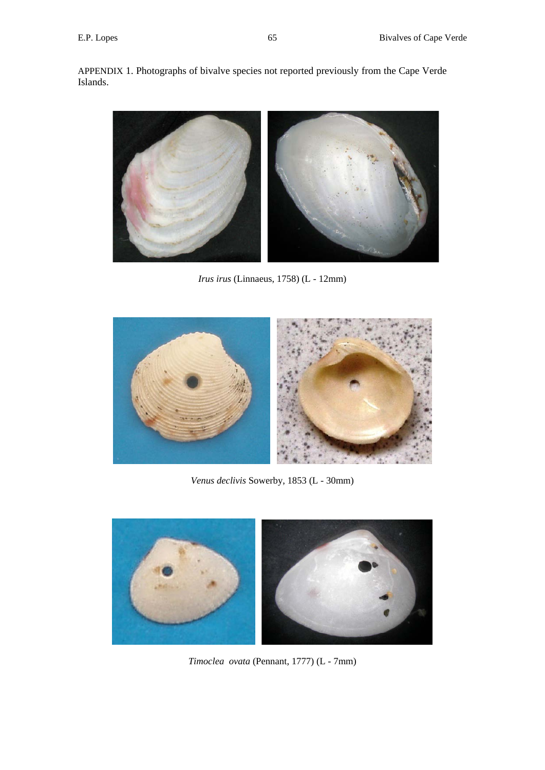APPENDIX 1. Photographs of bivalve species not reported previously from the Cape Verde Islands.



*Irus irus* (Linnaeus, 1758) (L - 12mm)



*Venus declivis* Sowerby, 1853 (L - 30mm)



*Timoclea ovata* (Pennant, 1777) (L - 7mm)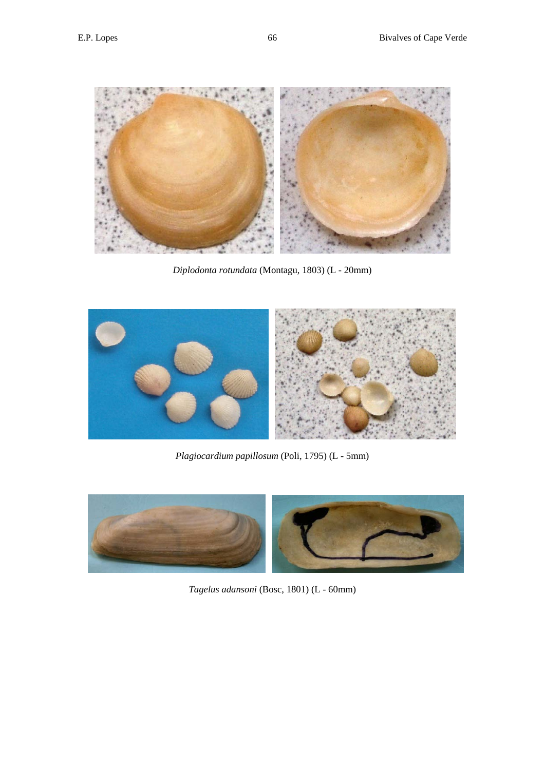

*Diplodonta rotundata* (Montagu, 1803) (L - 20mm)



*Plagiocardium papillosum* (Poli, 1795) (L - 5mm)



*Tagelus adansoni* (Bosc, 1801) (L - 60mm)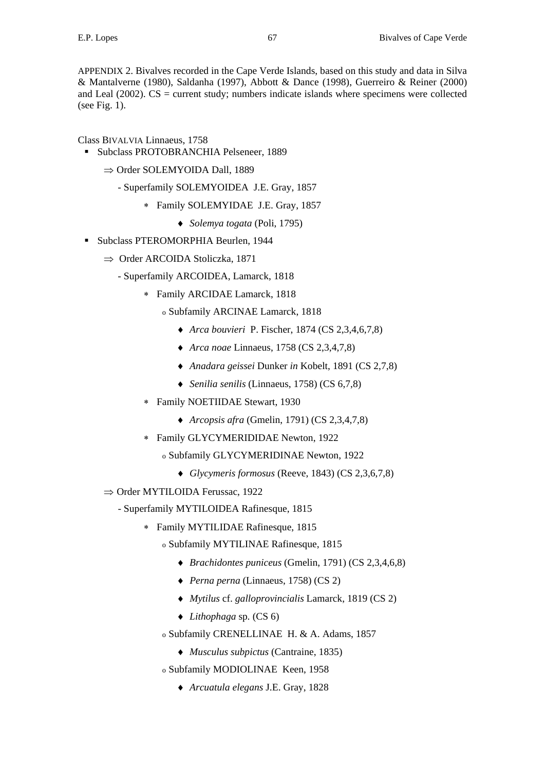APPENDIX 2. Bivalves recorded in the Cape Verde Islands, based on this study and data in Silva & Mantalverne (1980), Saldanha (1997), Abbott & Dance (1998), Guerreiro & Reiner (2000) and Leal  $(2002)$ . CS = current study; numbers indicate islands where specimens were collected (see Fig. 1).

# Class BIVALVIA Linnaeus, 1758

- Subclass PROTOBRANCHIA Pelseneer, 1889
	- ⇒ Order SOLEMYOIDA Dall, 1889
		- Superfamily SOLEMYOIDEA J.E. Gray, 1857
			- ∗ Family SOLEMYIDAE J.E. Gray, 1857
				- ♦ *Solemya togata* (Poli, 1795)
- Subclass PTEROMORPHIA Beurlen, 1944
	- ⇒ Order ARCOIDA Stoliczka, 1871
		- Superfamily ARCOIDEA, Lamarck, 1818
			- ∗ Family ARCIDAE Lamarck, 1818
				- o Subfamily ARCINAE Lamarck, 1818
					- ♦ *Arca bouvieri* P. Fischer, 1874 (CS 2,3,4,6,7,8)
					- ♦ *Arca noae* Linnaeus, 1758 (CS 2,3,4,7,8)
					- ♦ *Anadara geissei* Dunker *in* Kobelt, 1891 (CS 2,7,8)
					- ♦ *Senilia senilis* (Linnaeus, 1758) (CS 6,7,8)
			- ∗ Family NOETIIDAE Stewart, 1930
				- ♦ *Arcopsis afra* (Gmelin, 1791) (CS 2,3,4,7,8)
			- ∗ Family GLYCYMERIDIDAE Newton, 1922
				- o Subfamily GLYCYMERIDINAE Newton, 1922
					- ♦ *Glycymeris formosus* (Reeve, 1843) (CS 2,3,6,7,8)
	- ⇒ Order MYTILOIDA Ferussac, 1922
		- Superfamily MYTILOIDEA Rafinesque, 1815
			- ∗ Family MYTILIDAE Rafinesque, 1815
				- o Subfamily MYTILINAE Rafinesque, 1815
					- ♦ *Brachidontes puniceus* (Gmelin, 1791) (CS 2,3,4,6,8)
					- ♦ *Perna perna* (Linnaeus, 1758) (CS 2)
					- ♦ *Mytilus* cf. *galloprovincialis* Lamarck, 1819 (CS 2)
					- ♦ *Lithophaga* sp*.* (CS 6)
				- o Subfamily CRENELLINAE H. & A. Adams, 1857
					- ♦ *Musculus subpictus* (Cantraine, 1835)
				- o Subfamily MODIOLINAE Keen, 1958
					- ♦ *Arcuatula elegans* J.E. Gray, 1828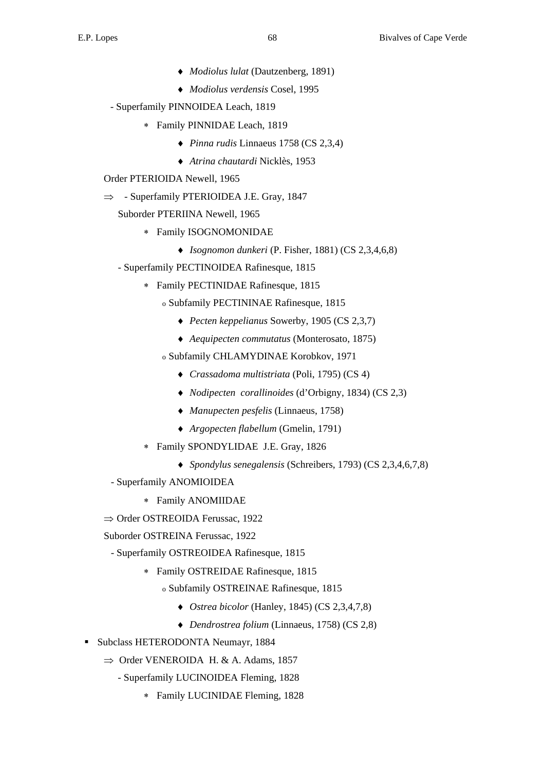- ♦ *Modiolus lulat* (Dautzenberg*,* 1891)
- ♦ *Modiolus verdensis* Cosel, 1995
- Superfamily PINNOIDEA Leach, 1819
	- ∗ Family PINNIDAE Leach, 1819
		- ♦ *Pinna rudis* Linnaeus 1758 (CS 2,3,4)
		- ♦ *Atrina chautardi* Nicklès, 1953
- Order PTERIOIDA Newell, 1965
- $\Rightarrow$  Superfamily PTERIOIDEA J.E. Gray, 1847
	- Suborder PTERIINA Newell, 1965
		- ∗ Family ISOGNOMONIDAE
			- ♦ *Isognomon dunkeri* (P. Fisher, 1881) (CS 2,3,4,6,8)
	- Superfamily PECTINOIDEA Rafinesque, 1815
		- ∗ Family PECTINIDAE Rafinesque, 1815
			- o Subfamily PECTININAE Rafinesque, 1815
				- ♦ *Pecten keppelianus* Sowerby, 1905 (CS 2,3,7)
				- ♦ *Aequipecten commutatus* (Monterosato, 1875)
			- o Subfamily CHLAMYDINAE Korobkov, 1971
				- ♦ *Crassadoma multistriata* (Poli, 1795) (CS 4)
				- ♦ *Nodipecten corallinoides* (d'Orbigny, 1834) (CS 2,3)
				- ♦ *Manupecten pesfelis* (Linnaeus, 1758)
				- ♦ *Argopecten flabellum* (Gmelin, 1791)
		- ∗ Family SPONDYLIDAE J.E. Gray, 1826
			- ♦ *Spondylus senegalensis* (Schreibers, 1793) (CS 2,3,4,6,7,8)
	- Superfamily ANOMIOIDEA
		- ∗ Family ANOMIIDAE
- ⇒ Order OSTREOIDA Ferussac, 1922
- Suborder OSTREINA Ferussac, 1922
	- Superfamily OSTREOIDEA Rafinesque, 1815
		- ∗ Family OSTREIDAE Rafinesque, 1815
			- o Subfamily OSTREINAE Rafinesque, 1815
				- ♦ *Ostrea bicolor* (Hanley, 1845) (CS 2,3,4,7,8)
				- ♦ *Dendrostrea folium* (Linnaeus, 1758) (CS 2,8)
- **Subclass HETERODONTA Neumayr, 1884** 
	- $\Rightarrow$  Order VENEROIDA H. & A. Adams, 1857
		- Superfamily LUCINOIDEA Fleming, 1828
			- ∗ Family LUCINIDAE Fleming, 1828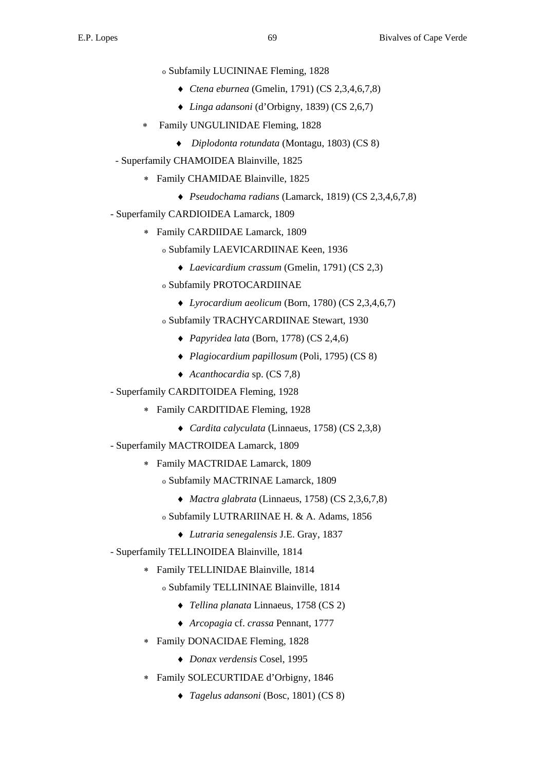- o Subfamily LUCININAE Fleming, 1828
	- ♦ *Ctena eburnea* (Gmelin, 1791) (CS 2,3,4,6,7,8)
	- ♦ *Linga adansoni* (d'Orbigny, 1839) (CS 2,6,7)
- Family UNGULINIDAE Fleming, 1828
	- ♦ *Diplodonta rotundata* (Montagu, 1803) (CS 8)
- Superfamily CHAMOIDEA Blainville, 1825
	- ∗ Family CHAMIDAE Blainville, 1825
		- ♦ *Pseudochama radians* (Lamarck, 1819) (CS 2,3,4,6,7,8)
- Superfamily CARDIOIDEA Lamarck, 1809
	- ∗ Family CARDIIDAE Lamarck, 1809
		- o Subfamily LAEVICARDIINAE Keen, 1936
			- ♦ *Laevicardium crassum* (Gmelin, 1791) (CS 2,3)
		- o Subfamily PROTOCARDIINAE
			- ♦ *Lyrocardium aeolicum* (Born, 1780) (CS 2,3,4,6,7)
		- o Subfamily TRACHYCARDIINAE Stewart, 1930
			- ♦ *Papyridea lata* (Born, 1778) (CS 2,4,6)
			- ♦ *Plagiocardium papillosum* (Poli, 1795) (CS 8)
			- ♦ *Acanthocardia* sp. (CS 7,8)
- Superfamily CARDITOIDEA Fleming, 1928
	- ∗ Family CARDITIDAE Fleming, 1928
		- ♦ *Cardita calyculata* (Linnaeus, 1758) (CS 2,3,8)
- Superfamily MACTROIDEA Lamarck, 1809
	- ∗ Family MACTRIDAE Lamarck, 1809
		- o Subfamily MACTRINAE Lamarck, 1809
			- ♦ *Mactra glabrata* (Linnaeus, 1758) (CS 2,3,6,7,8)
		- o Subfamily LUTRARIINAE H. & A. Adams, 1856
			- ♦ *Lutraria senegalensis* J.E. Gray, 1837
- Superfamily TELLINOIDEA Blainville, 1814
	- ∗ Family TELLINIDAE Blainville, 1814
		- o Subfamily TELLININAE Blainville, 1814
			- ♦ *Tellina planata* Linnaeus, 1758 (CS 2)
			- ♦ *Arcopagia* cf. *crassa* Pennant, 1777
	- ∗ Family DONACIDAE Fleming, 1828
		- ♦ *Donax verdensis* Cosel, 1995
	- ∗ Family SOLECURTIDAE d'Orbigny, 1846
		- ♦ *Tagelus adansoni* (Bosc, 1801) (CS 8)